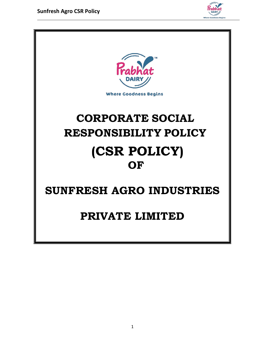

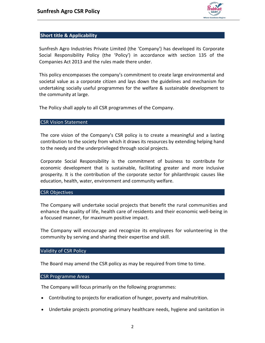

# **Short title & Applicability**

Sunfresh Agro Industries Private Limited (the 'Company') has developed its Corporate Social Responsibility Policy (the 'Policy') in accordance with section 135 of the Companies Act 2013 and the rules made there under.

This policy encompasses the company's commitment to create large environmental and societal value as a corporate citizen and lays down the guidelines and mechanism for undertaking socially useful programmes for the welfare & sustainable development to the community at large.

The Policy shall apply to all CSR programmes of the Company.

#### CSR Vision Statement

The core vision of the Company's CSR policy is to create a meaningful and a lasting contribution to the society from which it draws its resources by extending helping hand to the needy and the underprivileged through social projects.

Corporate Social Responsibility is the commitment of business to contribute for economic development that is sustainable, facilitating greater and more inclusive prosperity. It is the contribution of the corporate sector for philanthropic causes like education, health, water, environment and community welfare.

#### CSR Objectives

The Company will undertake social projects that benefit the rural communities and enhance the quality of life, health care of residents and their economic well-being in a focused manner, for maximum positive impact.

The Company will encourage and recognize its employees for volunteering in the community by serving and sharing their expertise and skill.

## Validity of CSR Policy

The Board may amend the CSR policy as may be required from time to time.

#### CSR Programme Areas

The Company will focus primarily on the following programmes:

- Contributing to projects for eradication of hunger, poverty and malnutrition.
- Undertake projects promoting primary healthcare needs, hygiene and sanitation in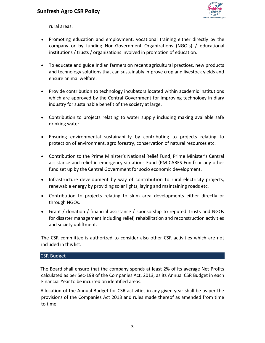

rural areas.

- Promoting education and employment, vocational training either directly by the company or by funding Non-Government Organizations (NGO's) / educational institutions / trusts / organizations involved in promotion of education.
- To educate and guide Indian farmers on recent agricultural practices, new products and technology solutions that can sustainably improve crop and livestock yields and ensure animal welfare.
- Provide contribution to technology incubators located within academic institutions which are approved by the Central Government for improving technology in diary industry for sustainable benefit of the society at large.
- Contribution to projects relating to water supply including making available safe drinking water.
- Ensuring environmental sustainability by contributing to projects relating to protection of environment, agro forestry, conservation of natural resources etc.
- Contribution to the Prime Minister's National Relief Fund, Prime Minister's Central assistance and relief in emergency situations Fund (PM CARES Fund) or any other fund set up by the Central Government for socio economic development.
- Infrastructure development by way of contribution to rural electricity projects, renewable energy by providing solar lights, laying and maintaining roads etc.
- Contribution to projects relating to slum area developments either directly or through NGOs.
- Grant / donation / financial assistance / sponsorship to reputed Trusts and NGOs for disaster management including relief, rehabilitation and reconstruction activities and society upliftment.

The CSR committee is authorized to consider also other CSR activities which are not included in this list.

## CSR Budget

The Board shall ensure that the company spends at least 2% of its average Net Profits calculated as per Sec-198 of the Companies Act, 2013, as its Annual CSR Budget in each Financial Year to be incurred on identified areas.

Allocation of the Annual Budget for CSR activities in any given year shall be as per the provisions of the Companies Act 2013 and rules made thereof as amended from time to time.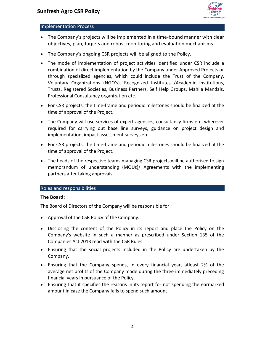

# Implementation Process

- The Company's projects will be implemented in a time-bound manner with clear objectives, plan, targets and robust monitoring and evaluation mechanisms.
- The Company's ongoing CSR projects will be aligned to the Policy.
- The mode of implementation of project activities identified under CSR include a combination of direct implementation by the Company under Approved Projects or through specialized agencies, which could include the Trust of the Company, Voluntary Organizations (NGO's), Recognized Institutes /Academic Institutions, Trusts, Registered Societies, Business Partners, Self Help Groups, Mahila Mandals, Professional Consultancy organization etc.
- For CSR projects, the time-frame and periodic milestones should be finalized at the time of approval of the Project.
- The Company will use services of expert agencies, consultancy firms etc. wherever required for carrying out base line surveys, guidance on project design and implementation, impact assessment surveys etc.
- For CSR projects, the time-frame and periodic milestones should be finalized at the time of approval of the Project.
- The heads of the respective teams managing CSR projects will be authorised to sign memorandum of understanding (MOUs)/ Agreements with the implementing partners after taking approvals.

# Roles and responsibilities

## **The Board:**

The Board of Directors of the Company will be responsible for:

- Approval of the CSR Policy of the Company.
- Disclosing the content of the Policy in its report and place the Policy on the Company's website in such a manner as prescribed under Section 135 of the Companies Act 2013 read with the CSR Rules.
- Ensuring that the social projects included in the Policy are undertaken by the Company.
- Ensuring that the Company spends, in every financial year, atleast 2% of the average net profits of the Company made during the three immediately preceding financial years in pursuance of the Policy.
- Ensuring that it specifies the reasons in its report for not spending the earmarked amount in case the Company fails to spend such amount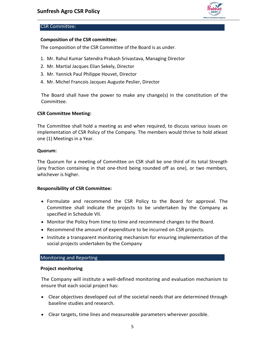

# CSR Committee:

# **Composition of the CSR committee:**

The composition of the CSR Committee of the Board is as under.

- 1. Mr. Rahul Kumar Satendra Prakash Srivastava, Managing Director
- 2. Mr. Martial Jacques Elian Sekely, Director
- 3. Mr. Yannick Paul Philippe Houvet, Director
- 4. Mr. Michel Francois Jacques Auguste Peslier, Director

The Board shall have the power to make any change(s) in the constitution of the Committee.

## **CSR Committee Meeting:**

The Committee shall hold a meeting as and when required, to discuss various issues on implementation of CSR Policy of the Company. The members would thrive to hold atleast one (1) Meetings in a Year.

#### **Quorum:**

The Quorum for a meeting of Committee on CSR shall be one third of its total Strength (any fraction containing in that one-third being rounded off as one), or two members, whichever is higher.

## **Responsibility of CSR Committee:**

- Formulate and recommend the CSR Policy to the Board for approval. The Committee shall indicate the projects to be undertaken by the Company as specified in Schedule VII.
- Monitor the Policy from time to time and recommend changes to the Board.
- Recommend the amount of expenditure to be incurred on CSR projects.
- Institute a transparent monitoring mechanism for ensuring implementation of the social projects undertaken by the Company

#### Monitoring and Reporting

#### **Project monitoring**

The Company will institute a well-defined monitoring and evaluation mechanism to ensure that each social project has:

- Clear objectives developed out of the societal needs that are determined through baseline studies and research.
- Clear targets, time lines and measureable parameters wherever possible.